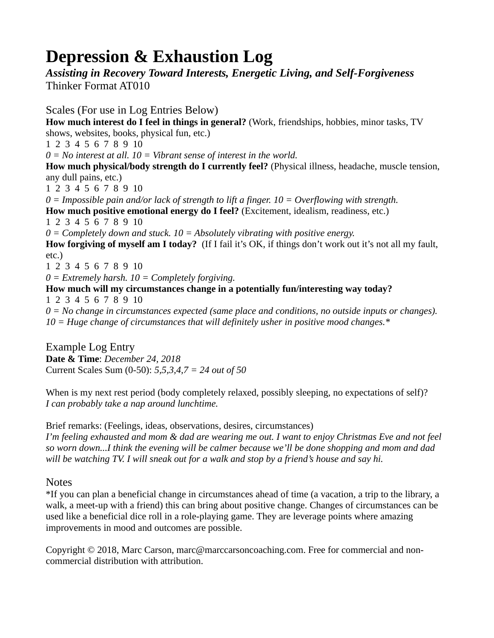# **Depression & Exhaustion Log**

# *Assisting in Recovery Toward Interests, Energetic Living, and Self-Forgiveness* Thinker Format AT010

Scales (For use in Log Entries Below) **How much interest do I feel in things in general?** (Work, friendships, hobbies, minor tasks, TV shows, websites, books, physical fun, etc.) 1 2 3 4 5 6 7 8 9 10 *0 = No interest at all. 10 = Vibrant sense of interest in the world.* **How much physical/body strength do I currently feel?** (Physical illness, headache, muscle tension, any dull pains, etc.) 1 2 3 4 5 6 7 8 9 10 *0 = Impossible pain and/or lack of strength to lift a finger. 10 = Overflowing with strength.* **How much positive emotional energy do I feel?** (Excitement, idealism, readiness, etc.) 1 2 3 4 5 6 7 8 9 10 *0 = Completely down and stuck. 10 = Absolutely vibrating with positive energy.* **How forgiving of myself am I today?** (If I fail it's OK, if things don't work out it's not all my fault, etc.) 1 2 3 4 5 6 7 8 9 10 *0 = Extremely harsh. 10 = Completely forgiving.* **How much will my circumstances change in a potentially fun/interesting way today?** 1 2 3 4 5 6 7 8 9 10 *0 = No change in circumstances expected (same place and conditions, no outside inputs or changes). 10 = Huge change of circumstances that will definitely usher in positive mood changes.\**

Example Log Entry **Date & Time**: *December 24, 2018* Current Scales Sum (0-50): *5,5,3,4,7 = 24 out of 50*

When is my next rest period (body completely relaxed, possibly sleeping, no expectations of self)? *I can probably take a nap around lunchtime.*

Brief remarks: (Feelings, ideas, observations, desires, circumstances) *I'm feeling exhausted and mom & dad are wearing me out. I want to enjoy Christmas Eve and not feel so worn down...I think the evening will be calmer because we'll be done shopping and mom and dad will be watching TV. I will sneak out for a walk and stop by a friend's house and say hi.*

## **Notes**

\*If you can plan a beneficial change in circumstances ahead of time (a vacation, a trip to the library, a walk, a meet-up with a friend) this can bring about positive change. Changes of circumstances can be used like a beneficial dice roll in a role-playing game. They are leverage points where amazing improvements in mood and outcomes are possible.

Copyright © 2018, Marc Carson, marc@marccarsoncoaching.com. Free for commercial and noncommercial distribution with attribution.